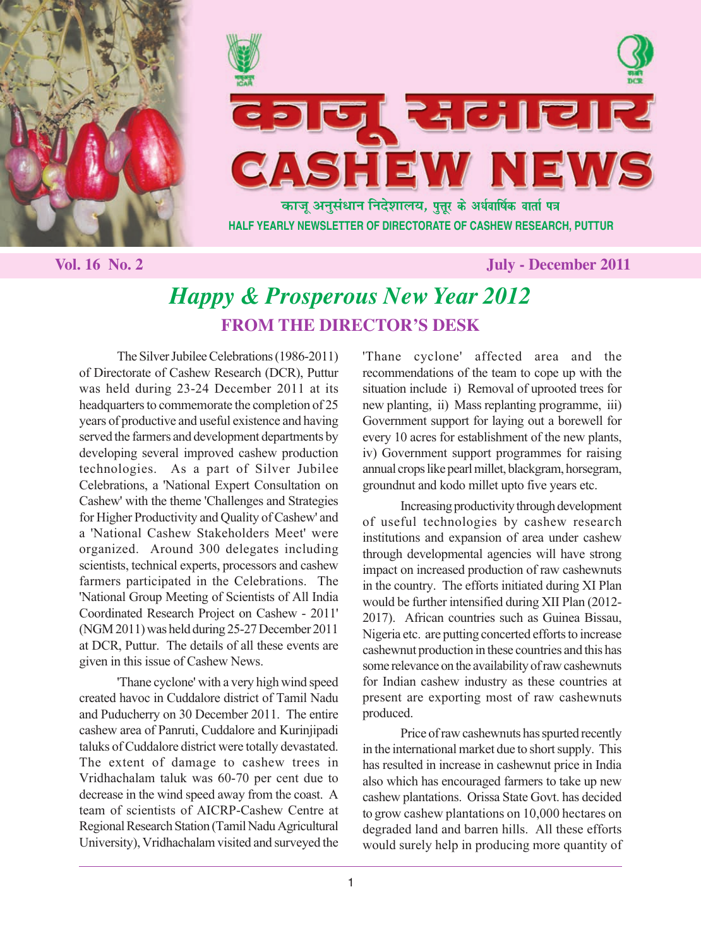



 **Vol. 16 No. 2 July - December 2011**

# *Happy & Prosperous New Year 2012* **FROM THE DIRECTOR'S DESK**

The Silver Jubilee Celebrations (1986-2011) of Directorate of Cashew Research (DCR), Puttur was held during 23-24 December 2011 at its headquarters to commemorate the completion of 25 years of productive and useful existence and having served the farmers and development departments by developing several improved cashew production technologies. As a part of Silver Jubilee Celebrations, a 'National Expert Consultation on Cashew' with the theme 'Challenges and Strategies for Higher Productivity and Quality of Cashew' and a 'National Cashew Stakeholders Meet' were organized. Around 300 delegates including scientists, technical experts, processors and cashew farmers participated in the Celebrations. The 'National Group Meeting of Scientists of All India Coordinated Research Project on Cashew - 2011' (NGM 2011) was held during 25-27 December 2011 at DCR, Puttur. The details of all these events are given in this issue of Cashew News.

'Thane cyclone' with a very high wind speed created havoc in Cuddalore district of Tamil Nadu and Puducherry on 30 December 2011. The entire cashew area of Panruti, Cuddalore and Kurinjipadi taluks of Cuddalore district were totally devastated. The extent of damage to cashew trees in Vridhachalam taluk was 60-70 per cent due to decrease in the wind speed away from the coast. A team of scientists of AICRP-Cashew Centre at Regional Research Station (Tamil Nadu Agricultural University), Vridhachalam visited and surveyed the 'Thane cyclone' affected area and the recommendations of the team to cope up with the situation include i) Removal of uprooted trees for new planting, ii) Mass replanting programme, iii) Government support for laying out a borewell for every 10 acres for establishment of the new plants, iv) Government support programmes for raising annual crops like pearl millet, blackgram, horsegram, groundnut and kodo millet upto five years etc.

Increasing productivity through development of useful technologies by cashew research institutions and expansion of area under cashew through developmental agencies will have strong impact on increased production of raw cashewnuts in the country. The efforts initiated during XI Plan would be further intensified during XII Plan (2012- 2017). African countries such as Guinea Bissau, Nigeria etc. are putting concerted efforts to increase cashewnut production in these countries and this has some relevance on the availability of raw cashewnuts for Indian cashew industry as these countries at present are exporting most of raw cashewnuts produced.

Price of raw cashewnuts has spurted recently in the international market due to short supply. This has resulted in increase in cashewnut price in India also which has encouraged farmers to take up new cashew plantations. Orissa State Govt. has decided to grow cashew plantations on 10,000 hectares on degraded land and barren hills. All these efforts would surely help in producing more quantity of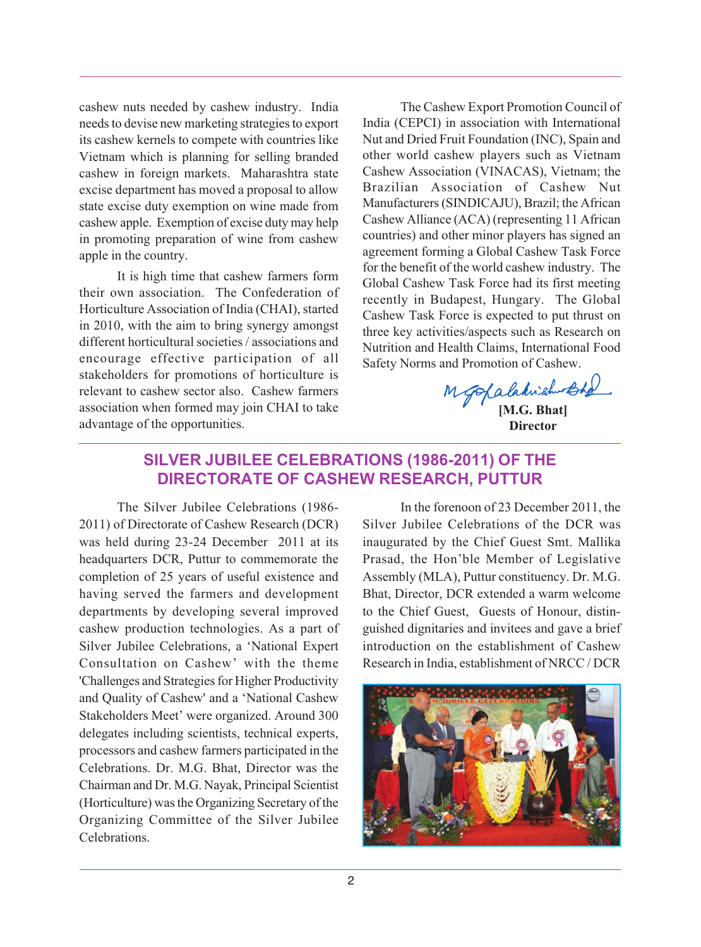cashew nuts needed by cashew industry. India needs to devise new marketing strategies to export its cashew kernels to compete with countries like Vietnam which is planning for selling branded cashew in foreign markets. Maharashtra state excise department has moved a proposal to allow state excise duty exemption on wine made from cashew apple. Exemption of excise duty may help in promoting preparation of wine from cashew apple in the country.

It is high time that cashew farmers form their own association. The Confederation of Horticulture Association of India (CHAI), started in 2010, with the aim to bring synergy amongst different horticultural societies / associations and encourage effective participation of all stakeholders for promotions of horticulture is relevant to cashew sector also. Cashew farmers association when formed may join CHAI to take advantage of the opportunities.

The Cashew Export Promotion Council of India (CEPCI) in association with International Nut and Dried Fruit Foundation (INC), Spain and other world cashew players such as Vietnam Cashew Association (VINACAS), Vietnam; the Brazilian Association of Cashew Nut Manufacturers (SINDICAJU), Brazil; the African Cashew Alliance (ACA) (representing 11 African countries) and other minor players has signed an agreement forming a Global Cashew Task Force for the benefit of the world cashew industry. The Global Cashew Task Force had its first meeting recently in Budapest, Hungary. The Global Cashew Task Force is expected to put thrust on three key activities/aspects such as Research on Nutrition and Health Claims, International Food Safety Norms and Promotion of Cashew.

**[M.G. Bhat] Director**

## **SILVER JUBILEE CELEBRATIONS (1986-2011) OF THE DIRECTORATE OF CASHEW RESEARCH, PUTTUR**

The Silver Jubilee Celebrations (1986- 2011) of Directorate of Cashew Research (DCR) was held during 23-24 December 2011 at its headquarters DCR, Puttur to commemorate the completion of 25 years of useful existence and having served the farmers and development departments by developing several improved cashew production technologies. As a part of Silver Jubilee Celebrations, a 'National Expert Consultation on Cashew' with the theme 'Challenges and Strategies for Higher Productivity and Quality of Cashew' and a 'National Cashew Stakeholders Meet' were organized. Around 300 delegates including scientists, technical experts, processors and cashew farmers participated in the Celebrations. Dr. M.G. Bhat, Director was the Chairman and Dr. M.G. Nayak, Principal Scientist (Horticulture) was the Organizing Secretary of the Organizing Committee of the Silver Jubilee Celebrations.

In the forenoon of 23 December 2011, the Silver Jubilee Celebrations of the DCR was inaugurated by the Chief Guest Smt. Mallika Prasad, the Hon'ble Member of Legislative Assembly (MLA), Puttur constituency. Dr. M.G. Bhat, Director, DCR extended a warm welcome to the Chief Guest, Guests of Honour, distinguished dignitaries and invitees and gave a brief introduction on the establishment of Cashew Research in India, establishment of NRCC / DCR

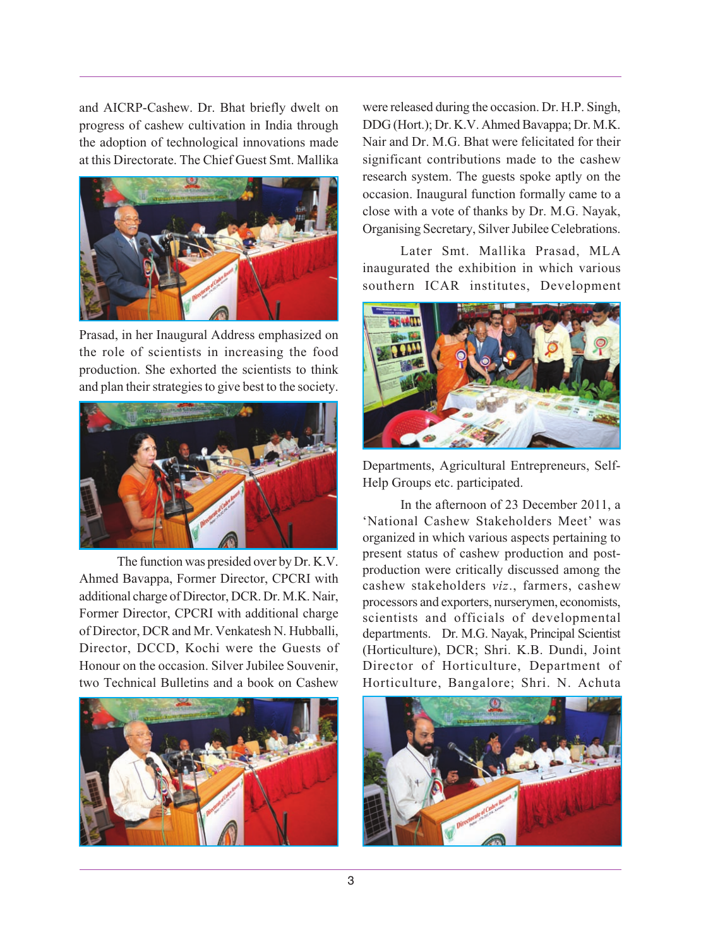and AICRP-Cashew. Dr. Bhat briefly dwelt on progress of cashew cultivation in India through the adoption of technological innovations made at this Directorate. The Chief Guest Smt. Mallika



Prasad, in her Inaugural Address emphasized on the role of scientists in increasing the food production. She exhorted the scientists to think and plan their strategies to give best to the society.



The function was presided over by Dr. K.V. Ahmed Bavappa, Former Director, CPCRI with additional charge of Director, DCR. Dr. M.K. Nair, Former Director, CPCRI with additional charge of Director, DCR and Mr. Venkatesh N. Hubballi, Director, DCCD, Kochi were the Guests of Honour on the occasion. Silver Jubilee Souvenir, two Technical Bulletins and a book on Cashew



were released during the occasion. Dr. H.P. Singh, DDG (Hort.); Dr. K.V. Ahmed Bavappa; Dr. M.K. Nair and Dr. M.G. Bhat were felicitated for their significant contributions made to the cashew research system. The guests spoke aptly on the occasion. Inaugural function formally came to a close with a vote of thanks by Dr. M.G. Nayak, Organising Secretary, Silver Jubilee Celebrations.

Later Smt. Mallika Prasad, MLA inaugurated the exhibition in which various southern ICAR institutes, Development



Departments, Agricultural Entrepreneurs, Self-Help Groups etc. participated.

In the afternoon of 23 December 2011, a 'National Cashew Stakeholders Meet' was organized in which various aspects pertaining to present status of cashew production and postproduction were critically discussed among the cashew stakeholders *viz*., farmers, cashew processors and exporters, nurserymen, economists, scientists and officials of developmental departments. Dr. M.G. Nayak, Principal Scientist (Horticulture), DCR; Shri. K.B. Dundi, Joint Director of Horticulture, Department of Horticulture, Bangalore; Shri. N. Achuta

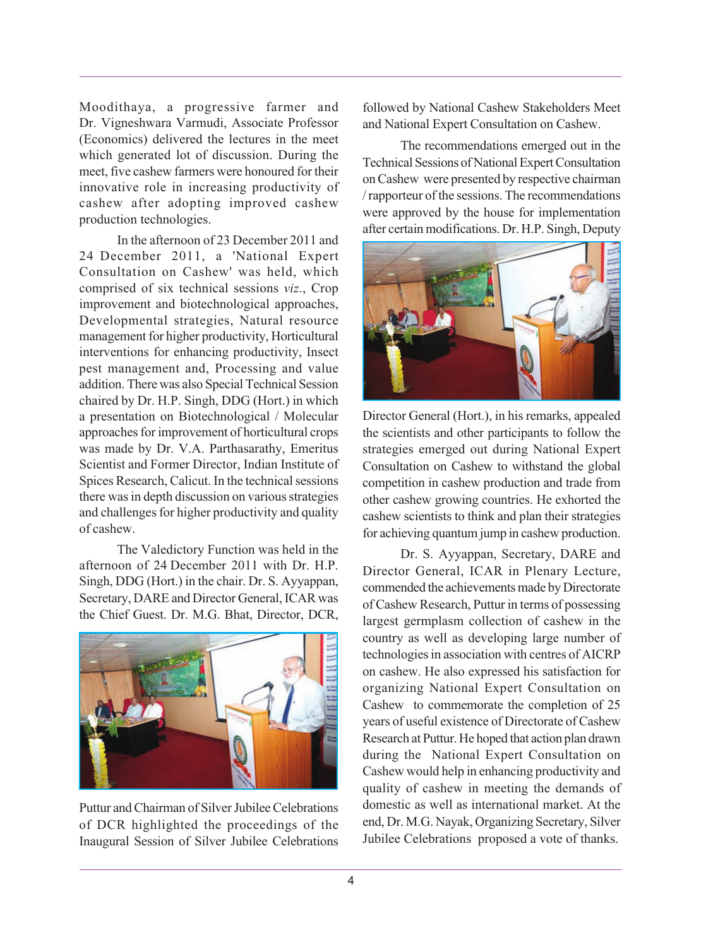Moodithaya, a progressive farmer and Dr. Vigneshwara Varmudi, Associate Professor (Economics) delivered the lectures in the meet which generated lot of discussion. During the meet, five cashew farmers were honoured for their innovative role in increasing productivity of cashew after adopting improved cashew production technologies.

In the afternoon of 23 December 2011 and 24 December 2011, a 'National Expert Consultation on Cashew' was held, which comprised of six technical sessions *viz*., Crop improvement and biotechnological approaches, Developmental strategies, Natural resource management for higher productivity, Horticultural interventions for enhancing productivity, Insect pest management and, Processing and value addition. There was also Special Technical Session chaired by Dr. H.P. Singh, DDG (Hort.) in which a presentation on Biotechnological / Molecular approaches for improvement of horticultural crops was made by Dr. V.A. Parthasarathy, Emeritus Scientist and Former Director, Indian Institute of Spices Research, Calicut. In the technical sessions there was in depth discussion on various strategies and challenges for higher productivity and quality of cashew.

The Valedictory Function was held in the afternoon of 24 December 2011 with Dr. H.P. Singh, DDG (Hort.) in the chair. Dr. S. Ayyappan, Secretary, DARE and Director General, ICAR was the Chief Guest. Dr. M.G. Bhat, Director, DCR,



Puttur and Chairman of Silver Jubilee Celebrations of DCR highlighted the proceedings of the Inaugural Session of Silver Jubilee Celebrations

followed by National Cashew Stakeholders Meet and National Expert Consultation on Cashew.

The recommendations emerged out in the Technical Sessions of National Expert Consultation on Cashew were presented by respective chairman / rapporteur of the sessions. The recommendations were approved by the house for implementation after certain modifications. Dr. H.P. Singh, Deputy



Director General (Hort.), in his remarks, appealed the scientists and other participants to follow the strategies emerged out during National Expert Consultation on Cashew to withstand the global competition in cashew production and trade from other cashew growing countries. He exhorted the cashew scientists to think and plan their strategies for achieving quantum jump in cashew production.

Dr. S. Ayyappan, Secretary, DARE and Director General, ICAR in Plenary Lecture, commended the achievements made by Directorate of Cashew Research, Puttur in terms of possessing largest germplasm collection of cashew in the country as well as developing large number of technologies in association with centres of AICRP on cashew. He also expressed his satisfaction for organizing National Expert Consultation on Cashew to commemorate the completion of 25 years of useful existence of Directorate of Cashew Research at Puttur. He hoped that action plan drawn during the National Expert Consultation on Cashew would help in enhancing productivity and quality of cashew in meeting the demands of domestic as well as international market. At the end, Dr. M.G. Nayak, Organizing Secretary, Silver Jubilee Celebrations proposed a vote of thanks.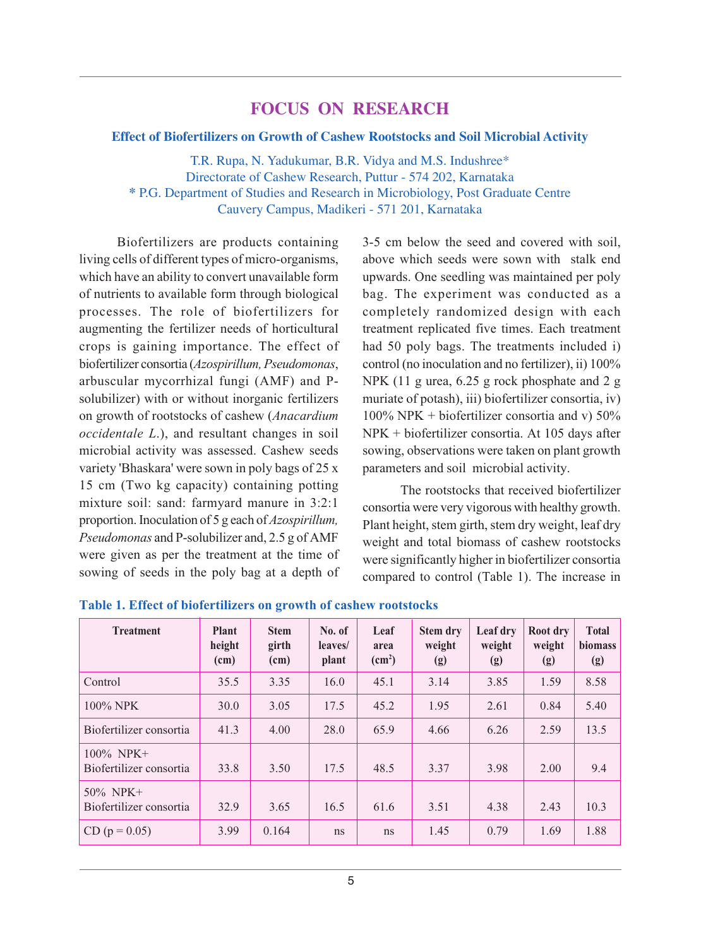## **FOCUS ON RESEARCH**

#### **Effect of Biofertilizers on Growth of Cashew Rootstocks and Soil Microbial Activity**

T.R. Rupa, N. Yadukumar, B.R. Vidya and M.S. Indushree\* Directorate of Cashew Research, Puttur - 574 202, Karnataka **\*** P.G. Department of Studies and Research in Microbiology, Post Graduate Centre Cauvery Campus, Madikeri - 571 201, Karnataka

Biofertilizers are products containing living cells of different types of micro-organisms, which have an ability to convert unavailable form of nutrients to available form through biological processes. The role of biofertilizers for augmenting the fertilizer needs of horticultural crops is gaining importance. The effect of biofertilizer consortia (*Azospirillum, Pseudomonas*, arbuscular mycorrhizal fungi (AMF) and Psolubilizer) with or without inorganic fertilizers on growth of rootstocks of cashew (*Anacardium occidentale L*.), and resultant changes in soil microbial activity was assessed. Cashew seeds variety 'Bhaskara' were sown in poly bags of 25 x 15 cm (Two kg capacity) containing potting mixture soil: sand: farmyard manure in 3:2:1 proportion. Inoculation of 5 g each of *Azospirillum, Pseudomonas* and P-solubilizer and, 2.5 g of AMF were given as per the treatment at the time of sowing of seeds in the poly bag at a depth of 3-5 cm below the seed and covered with soil, above which seeds were sown with stalk end upwards. One seedling was maintained per poly bag. The experiment was conducted as a completely randomized design with each treatment replicated five times. Each treatment had 50 poly bags. The treatments included i) control (no inoculation and no fertilizer), ii) 100% NPK (11 g urea, 6.25 g rock phosphate and 2 g muriate of potash), iii) biofertilizer consortia, iv)  $100\%$  NPK + biofertilizer consortia and v)  $50\%$ NPK + biofertilizer consortia. At 105 days after sowing, observations were taken on plant growth parameters and soil microbial activity.

The rootstocks that received biofertilizer consortia were very vigorous with healthy growth. Plant height, stem girth, stem dry weight, leaf dry weight and total biomass of cashew rootstocks were significantly higher in biofertilizer consortia compared to control (Table 1). The increase in

| <b>Treatment</b>                        | Plant<br>height<br>(cm) | <b>Stem</b><br>girth<br>(cm) | No. of<br>leaves/<br>plant | Leaf<br>area<br>$\text{(cm}^2\text{)}$ | Stem dry<br>weight<br>(g) | Leaf dry<br>weight<br>(g) | Root dry<br>weight<br>(g) | <b>Total</b><br>biomass<br>(g) |
|-----------------------------------------|-------------------------|------------------------------|----------------------------|----------------------------------------|---------------------------|---------------------------|---------------------------|--------------------------------|
| Control                                 | 35.5                    | 3.35                         | 16.0                       | 45.1                                   | 3.14                      | 3.85                      | 1.59                      | 8.58                           |
| 100% NPK                                | 30.0                    | 3.05                         | 17.5                       | 45.2                                   | 1.95                      | 2.61                      | 0.84                      | 5.40                           |
| Biofertilizer consortia                 | 41.3                    | 4.00                         | 28.0                       | 65.9                                   | 4.66                      | 6.26                      | 2.59                      | 13.5                           |
| $100\%$ NPK+<br>Biofertilizer consortia | 33.8                    | 3.50                         | 17.5                       | 48.5                                   | 3.37                      | 3.98                      | 2.00                      | 9.4                            |
| $50\%$ NPK+<br>Biofertilizer consortia  | 32.9                    | 3.65                         | 16.5                       | 61.6                                   | 3.51                      | 4.38                      | 2.43                      | 10.3                           |
| $CD (p = 0.05)$                         | 3.99                    | 0.164                        | ns                         | <sub>ns</sub>                          | 1.45                      | 0.79                      | 1.69                      | 1.88                           |

#### **Table 1. Effect of biofertilizers on growth of cashew rootstocks**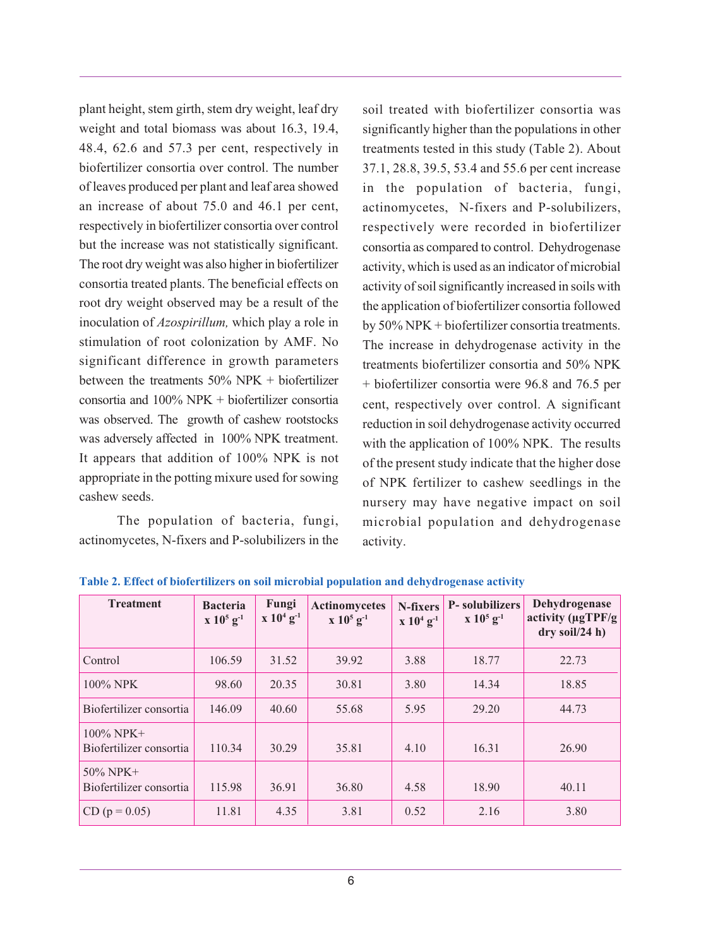plant height, stem girth, stem dry weight, leaf dry weight and total biomass was about 16.3, 19.4, 48.4, 62.6 and 57.3 per cent, respectively in biofertilizer consortia over control. The number of leaves produced per plant and leaf area showed an increase of about 75.0 and 46.1 per cent, respectively in biofertilizer consortia over control but the increase was not statistically significant. The root dry weight was also higher in biofertilizer consortia treated plants. The beneficial effects on root dry weight observed may be a result of the inoculation of *Azospirillum,* which play a role in stimulation of root colonization by AMF. No significant difference in growth parameters between the treatments 50% NPK + biofertilizer consortia and 100% NPK + biofertilizer consortia was observed. The growth of cashew rootstocks was adversely affected in 100% NPK treatment. It appears that addition of 100% NPK is not appropriate in the potting mixure used for sowing cashew seeds.

The population of bacteria, fungi, actinomycetes, N-fixers and P-solubilizers in the soil treated with biofertilizer consortia was significantly higher than the populations in other treatments tested in this study (Table 2). About 37.1, 28.8, 39.5, 53.4 and 55.6 per cent increase in the population of bacteria, fungi, actinomycetes, N-fixers and P-solubilizers, respectively were recorded in biofertilizer consortia as compared to control. Dehydrogenase activity, which is used as an indicator of microbial activity of soil significantly increased in soils with the application of biofertilizer consortia followed by 50% NPK + biofertilizer consortia treatments. The increase in dehydrogenase activity in the treatments biofertilizer consortia and 50% NPK + biofertilizer consortia were 96.8 and 76.5 per cent, respectively over control. A significant reduction in soil dehydrogenase activity occurred with the application of 100% NPK. The results of the present study indicate that the higher dose of NPK fertilizer to cashew seedlings in the nursery may have negative impact on soil microbial population and dehydrogenase activity.

| <b>Treatment</b>                        | <b>Bacteria</b><br>$x 10^5$ g <sup>-1</sup> | Fungi<br>$x 10^4 g^{-1}$ | Actinomycetes<br>$x 10^5 g^{-1}$ | N-fixers<br>$x 10^4 g^{-1}$ | P-solubilizers<br>$x 10^5 g^{-1}$ | Dehydrogenase<br>activity $(\mu \sigma TPF/g)$<br>$dry$ soil/24 h) |
|-----------------------------------------|---------------------------------------------|--------------------------|----------------------------------|-----------------------------|-----------------------------------|--------------------------------------------------------------------|
| Control                                 | 106.59                                      | 31.52                    | 39.92                            | 3.88                        | 18.77                             | 22.73                                                              |
| 100% NPK                                | 98.60                                       | 20.35                    | 30.81                            | 3.80                        | 14.34                             | 18.85                                                              |
| Biofertilizer consortia                 | 146.09                                      | 40.60                    | 55.68                            | 5.95                        | 29.20                             | 44.73                                                              |
| $100\%$ NPK+<br>Biofertilizer consortia | 110.34                                      | 30.29                    | 35.81                            | 4.10                        | 16.31                             | 26.90                                                              |
| $50\%$ NPK+<br>Biofertilizer consortia  | 115.98                                      | 36.91                    | 36.80                            | 4.58                        | 18.90                             | 40.11                                                              |
| $CD (p = 0.05)$                         | 11.81                                       | 4.35                     | 3.81                             | 0.52                        | 2.16                              | 3.80                                                               |

**Table 2. Effect of biofertilizers on soil microbial population and dehydrogenase activity**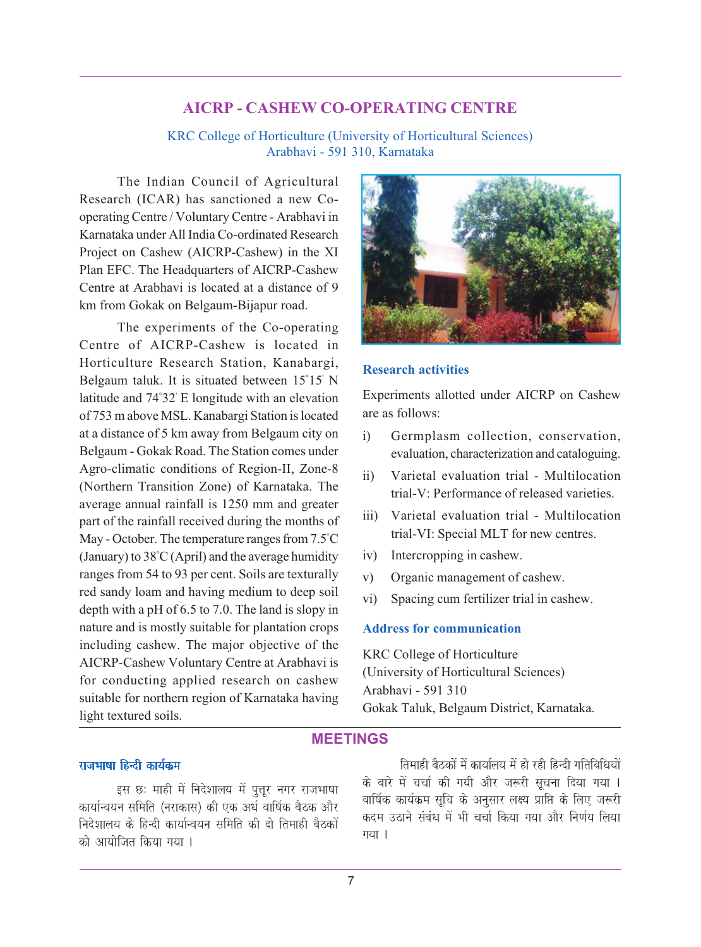## **AICRP - CASHEW CO-OPERATING CENTRE**

KRC College of Horticulture (University of Horticultural Sciences) Arabhavi - 591 310, Karnataka

The Indian Council of Agricultural Research (ICAR) has sanctioned a new Cooperating Centre / Voluntary Centre - Arabhavi in Karnataka under All India Co-ordinated Research Project on Cashew (AICRP-Cashew) in the XI Plan EFC. The Headquarters of AICRP-Cashew Centre at Arabhavi is located at a distance of 9 km from Gokak on Belgaum-Bijapur road.

The experiments of the Co-operating Centre of AICRP-Cashew is located in Horticulture Research Station, Kanabargi, Belgaum taluk. It is situated between 15° 15' N latitude and 74° 32' E longitude with an elevation of 753 m above MSL. Kanabargi Station is located at a distance of 5 km away from Belgaum city on Belgaum - Gokak Road. The Station comes under Agro-climatic conditions of Region-II, Zone-8 (Northern Transition Zone) of Karnataka. The average annual rainfall is 1250 mm and greater part of the rainfall received during the months of May - October. The temperature ranges from 7.5° C (January) to 38° C (April) and the average humidity ranges from 54 to 93 per cent. Soils are texturally red sandy loam and having medium to deep soil depth with a pH of 6.5 to 7.0. The land is slopy in nature and is mostly suitable for plantation crops including cashew. The major objective of the AICRP-Cashew Voluntary Centre at Arabhavi is for conducting applied research on cashew suitable for northern region of Karnataka having light textured soils.



#### **Research activities**

Experiments allotted under AICRP on Cashew are as follows:

- i) Germplasm collection, conservation, evaluation, characterization and cataloguing.
- ii) Varietal evaluation trial Multilocation trial-V: Performance of released varieties.
- iii) Varietal evaluation trial Multilocation trial-VI: Special MLT for new centres.
- iv) Intercropping in cashew.
- v) Organic management of cashew.
- vi) Spacing cum fertilizer trial in cashew.

#### **Address for communication**

KRC College of Horticulture (University of Horticultural Sciences) Arabhavi - 591 310 Gokak Taluk, Belgaum District, Karnataka.

## **MEETINGS**

## राजभाषा हिन्दी कार्यक्रम

इस छः माही में निदेशालय में पूत्तूर नगर राजभाषा कार्यान्वयन समिति (नराकास) की एक अर्ध वार्षिक बैठक और निदेशालय के हिन्दी कार्यान्वयन समिति की दो तिमाही बैठकों को आयोजित किया गया ।

तिमाही बैठकों में कार्यालय में हो रही हिन्दी गतिविधियों के बारे में चर्चा की गयी और जरूरी सूचना दिया गया । वार्षिक कार्यक्रम सुचि के अनुसार लक्ष्य प्राप्ति के लिए जरूरी कदम उठाने संबंध में भी चर्चा किया गया और निर्णय लिया गया।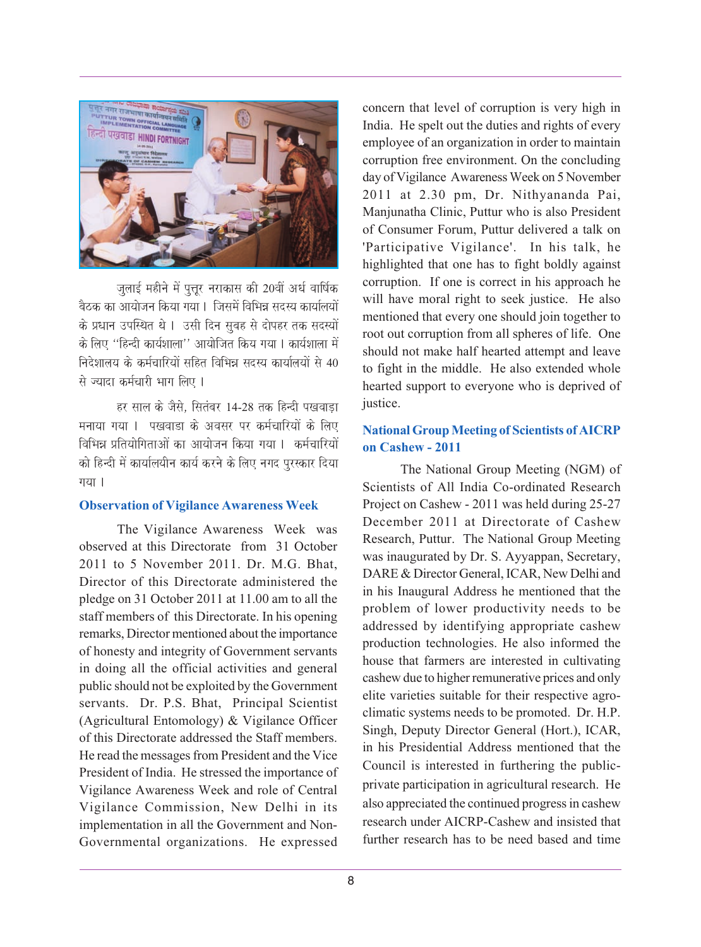

जुलाई महीने में पूत्तूर नराकास की 20वीं अर्ध वार्षिक बैठक का आयोजन किया गया । जिसमें विभिन्न सदस्य कार्यालयों के प्रधान उपस्थित थे । उसी दिन सुबह से दोपहर तक सदस्यों के लिए ''हिन्दी कार्यशाला'' आयोजित किय गया । कार्यशाला में निदेशालय के कर्मचारियों सहित विभिन्न सदस्य कार्यालयों से 40 से ज्यादा कर्मचारी भाग लिए ।

हर साल के जैसे, सितंबर 14-28 तक हिन्दी पखवाडा मनाया गया । पखवाडा के अवसर पर कर्मचारियों के लिए विभिन्न प्रतियोगिताओं का आयोजन किया गया । कर्मचारियों को हिन्दी में कार्यालयीन कार्य करने के लिए नगद पुरस्कार दिया गया।

#### **Observation of Vigilance Awareness Week**

The Vigilance Awareness Week was observed at this Directorate from 31 October 2011 to 5 November 2011. Dr. M.G. Bhat, Director of this Directorate administered the pledge on 31 October 2011 at 11.00 am to all the staff members of this Directorate. In his opening remarks, Director mentioned about the importance of honesty and integrity of Government servants in doing all the official activities and general public should not be exploited by the Government servants. Dr. P.S. Bhat, Principal Scientist (Agricultural Entomology) & Vigilance Officer of this Directorate addressed the Staff members. He read the messages from President and the Vice President of India. He stressed the importance of Vigilance Awareness Week and role of Central Vigilance Commission, New Delhi in its implementation in all the Government and Non-Governmental organizations. He expressed

concern that level of corruption is very high in India. He spelt out the duties and rights of every employee of an organization in order to maintain corruption free environment. On the concluding day of Vigilance Awareness Week on 5 November 2011 at 2.30 pm, Dr. Nithyananda Pai, Manjunatha Clinic, Puttur who is also President of Consumer Forum, Puttur delivered a talk on 'Participative Vigilance'. In his talk, he highlighted that one has to fight boldly against corruption. If one is correct in his approach he will have moral right to seek justice. He also mentioned that every one should join together to root out corruption from all spheres of life. One should not make half hearted attempt and leave to fight in the middle. He also extended whole hearted support to everyone who is deprived of justice.

## **National Group Meeting of Scientists of AICRP on Cashew - 2011**

The National Group Meeting (NGM) of Scientists of All India Co-ordinated Research Project on Cashew - 2011 was held during 25-27 December 2011 at Directorate of Cashew Research, Puttur. The National Group Meeting was inaugurated by Dr. S. Ayyappan, Secretary, DARE & Director General, ICAR, New Delhi and in his Inaugural Address he mentioned that the problem of lower productivity needs to be addressed by identifying appropriate cashew production technologies. He also informed the house that farmers are interested in cultivating cashew due to higher remunerative prices and only elite varieties suitable for their respective agroclimatic systems needs to be promoted. Dr. H.P. Singh, Deputy Director General (Hort.), ICAR, in his Presidential Address mentioned that the Council is interested in furthering the publicprivate participation in agricultural research. He also appreciated the continued progress in cashew research under AICRP-Cashew and insisted that further research has to be need based and time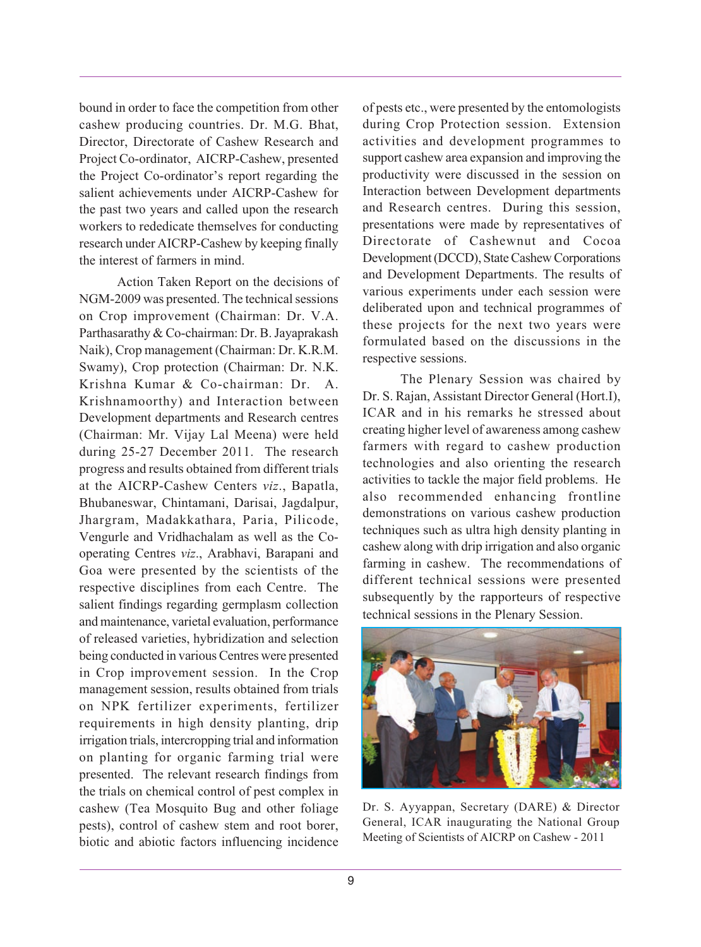bound in order to face the competition from other cashew producing countries. Dr. M.G. Bhat, Director, Directorate of Cashew Research and Project Co-ordinator, AICRP-Cashew, presented the Project Co-ordinator's report regarding the salient achievements under AICRP-Cashew for the past two years and called upon the research workers to rededicate themselves for conducting research under AICRP-Cashew by keeping finally the interest of farmers in mind.

Action Taken Report on the decisions of NGM-2009 was presented. The technical sessions on Crop improvement (Chairman: Dr. V.A. Parthasarathy & Co-chairman: Dr. B. Jayaprakash Naik), Crop management (Chairman: Dr. K.R.M. Swamy), Crop protection (Chairman: Dr. N.K. Krishna Kumar & Co-chairman: Dr. A. Krishnamoorthy) and Interaction between Development departments and Research centres (Chairman: Mr. Vijay Lal Meena) were held during 25-27 December 2011. The research progress and results obtained from different trials at the AICRP-Cashew Centers *viz*., Bapatla, Bhubaneswar, Chintamani, Darisai, Jagdalpur, Jhargram, Madakkathara, Paria, Pilicode, Vengurle and Vridhachalam as well as the Cooperating Centres *viz*., Arabhavi, Barapani and Goa were presented by the scientists of the respective disciplines from each Centre. The salient findings regarding germplasm collection and maintenance, varietal evaluation, performance of released varieties, hybridization and selection being conducted in various Centres were presented in Crop improvement session. In the Crop management session, results obtained from trials on NPK fertilizer experiments, fertilizer requirements in high density planting, drip irrigation trials, intercropping trial and information on planting for organic farming trial were presented. The relevant research findings from the trials on chemical control of pest complex in cashew (Tea Mosquito Bug and other foliage pests), control of cashew stem and root borer, biotic and abiotic factors influencing incidence

of pests etc., were presented by the entomologists during Crop Protection session. Extension activities and development programmes to support cashew area expansion and improving the productivity were discussed in the session on Interaction between Development departments and Research centres. During this session, presentations were made by representatives of Directorate of Cashewnut and Cocoa Development (DCCD), State Cashew Corporations and Development Departments. The results of various experiments under each session were deliberated upon and technical programmes of these projects for the next two years were formulated based on the discussions in the respective sessions.

The Plenary Session was chaired by Dr. S. Rajan, Assistant Director General (Hort.I), ICAR and in his remarks he stressed about creating higher level of awareness among cashew farmers with regard to cashew production technologies and also orienting the research activities to tackle the major field problems. He also recommended enhancing frontline demonstrations on various cashew production techniques such as ultra high density planting in cashew along with drip irrigation and also organic farming in cashew. The recommendations of different technical sessions were presented subsequently by the rapporteurs of respective technical sessions in the Plenary Session.



Dr. S. Ayyappan, Secretary (DARE) & Director General, ICAR inaugurating the National Group Meeting of Scientists of AICRP on Cashew - 2011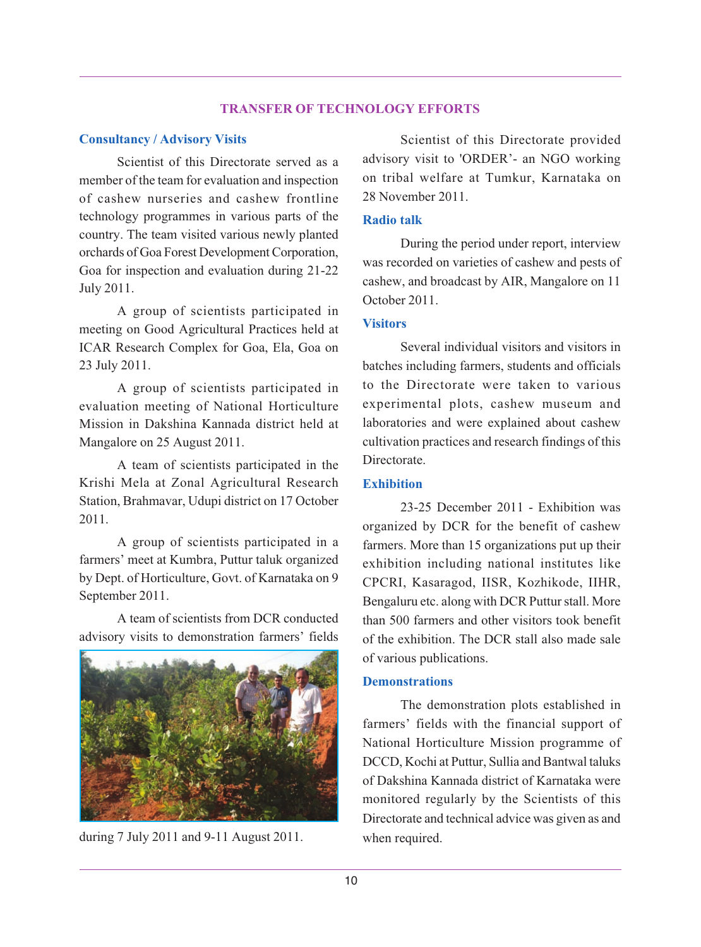#### **TRANSFER OF TECHNOLOGY EFFORTS**

#### **Consultancy / Advisory Visits**

Scientist of this Directorate served as a member of the team for evaluation and inspection of cashew nurseries and cashew frontline technology programmes in various parts of the country. The team visited various newly planted orchards of Goa Forest Development Corporation, Goa for inspection and evaluation during 21-22 July 2011.

A group of scientists participated in meeting on Good Agricultural Practices held at ICAR Research Complex for Goa, Ela, Goa on 23 July 2011.

A group of scientists participated in evaluation meeting of National Horticulture Mission in Dakshina Kannada district held at Mangalore on 25 August 2011.

A team of scientists participated in the Krishi Mela at Zonal Agricultural Research Station, Brahmavar, Udupi district on 17 October 2011.

A group of scientists participated in a farmers' meet at Kumbra, Puttur taluk organized by Dept. of Horticulture, Govt. of Karnataka on 9 September 2011.

A team of scientists from DCR conducted advisory visits to demonstration farmers' fields



during 7 July 2011 and 9-11 August 2011. when required.

Scientist of this Directorate provided advisory visit to 'ORDER'- an NGO working on tribal welfare at Tumkur, Karnataka on 28 November 2011.

#### **Radio talk**

During the period under report, interview was recorded on varieties of cashew and pests of cashew, and broadcast by AIR, Mangalore on 11 October 2011.

#### **Visitors**

Several individual visitors and visitors in batches including farmers, students and officials to the Directorate were taken to various experimental plots, cashew museum and laboratories and were explained about cashew cultivation practices and research findings of this Directorate.

#### **Exhibition**

23-25 December 2011 - Exhibition was organized by DCR for the benefit of cashew farmers. More than 15 organizations put up their exhibition including national institutes like CPCRI, Kasaragod, IISR, Kozhikode, IIHR, Bengaluru etc. along with DCR Puttur stall. More than 500 farmers and other visitors took benefit of the exhibition. The DCR stall also made sale of various publications.

#### **Demonstrations**

The demonstration plots established in farmers' fields with the financial support of National Horticulture Mission programme of DCCD, Kochi at Puttur, Sullia and Bantwal taluks of Dakshina Kannada district of Karnataka were monitored regularly by the Scientists of this Directorate and technical advice was given as and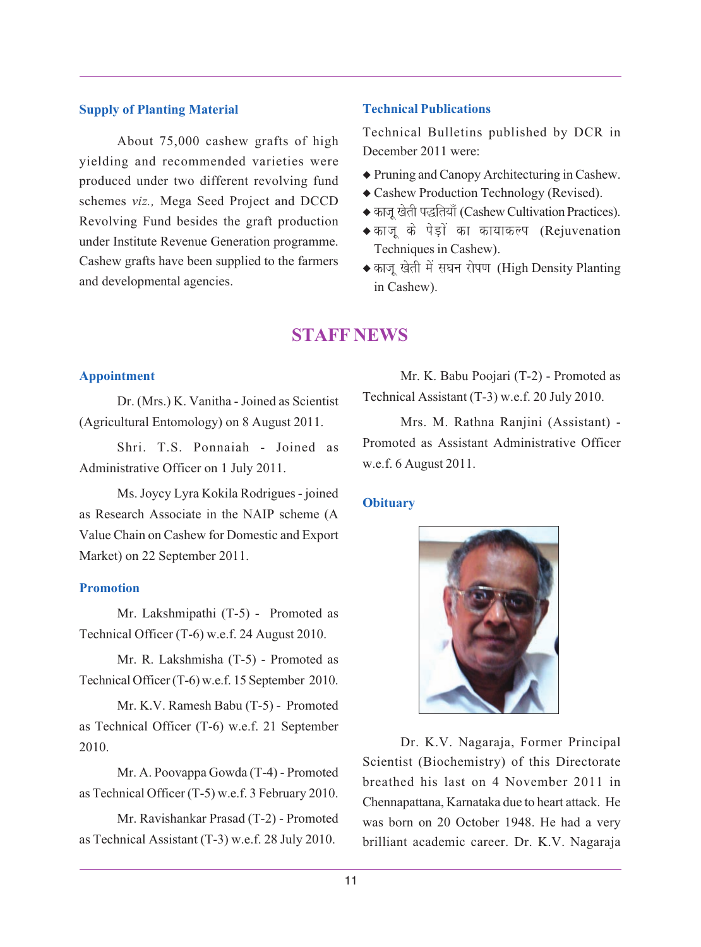#### **Supply of Planting Material**

About 75,000 cashew grafts of high yielding and recommended varieties were produced under two different revolving fund schemes *viz.,* Mega Seed Project and DCCD Revolving Fund besides the graft production under Institute Revenue Generation programme. Cashew grafts have been supplied to the farmers and developmental agencies.

#### **Technical Publications**

Technical Bulletins published by DCR in December 2011 were:

- ◆ Pruning and Canopy Architecturing in Cashew.
- ◆ Cashew Production Technology (Revised).
- ◆ काजू खेती पद्धतियाँ (Cashew Cultivation Practices).
- ◆ काजू के पेड़ों का कायाकल्प (Rejuvenation Techniques in Cashew).
- ◆ काजू खेती में सघन रोपण (High Density Planting in Cashew).

# **STAFF NEWS**

#### **Appointment**

Dr. (Mrs.) K. Vanitha - Joined as Scientist (Agricultural Entomology) on 8 August 2011.

Shri. T.S. Ponnaiah - Joined as Administrative Officer on 1 July 2011.

Ms. Joycy Lyra Kokila Rodrigues - joined as Research Associate in the NAIP scheme (A Value Chain on Cashew for Domestic and Export Market) on 22 September 2011.

#### **Promotion**

Mr. Lakshmipathi (T-5) - Promoted as Technical Officer (T-6) w.e.f. 24 August 2010.

Mr. R. Lakshmisha (T-5) - Promoted as Technical Officer (T-6) w.e.f. 15 September 2010.

Mr. K.V. Ramesh Babu (T-5) - Promoted as Technical Officer (T-6) w.e.f. 21 September 2010.

Mr. A. Poovappa Gowda (T-4) - Promoted as Technical Officer (T-5) w.e.f. 3 February 2010.

Mr. Ravishankar Prasad (T-2) - Promoted as Technical Assistant (T-3) w.e.f. 28 July 2010.

Mr. K. Babu Poojari (T-2) - Promoted as Technical Assistant (T-3) w.e.f. 20 July 2010.

Mrs. M. Rathna Ranjini (Assistant) - Promoted as Assistant Administrative Officer w.e.f. 6 August 2011.

#### **Obituary**



Dr. K.V. Nagaraja, Former Principal Scientist (Biochemistry) of this Directorate breathed his last on 4 November 2011 in Chennapattana, Karnataka due to heart attack. He was born on 20 October 1948. He had a very brilliant academic career. Dr. K.V. Nagaraja